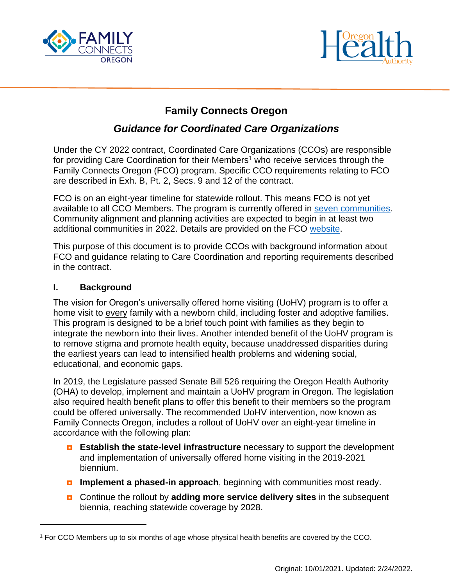



# **Family Connects Oregon**

# *Guidance for Coordinated Care Organizations*

Under the CY 2022 contract, Coordinated Care Organizations (CCOs) are responsible for providing Care Coordination for their Members<sup>1</sup> who receive services through the Family Connects Oregon (FCO) program. Specific CCO requirements relating to FCO are described in Exh. B, Pt. 2, Secs. 9 and 12 of the contract.

FCO is on an eight-year timeline for statewide rollout. This means FCO is not yet available to all CCO Members. The program is currently offered in [seven communities.](https://www.oregon.gov/oha/PH/HEALTHYPEOPLEFAMILIES/BABIES/HOMEVISITING/SiteAssets/Lists/FamilyConnects/EditForm/FCO_EA_map_05_21_21.jpg) Community alignment and planning activities are expected to begin in at least two additional communities in 2022. Details are provided on the FCO [website.](https://www.oregon.gov/OHA/PH/HEALTHYPEOPLEFAMILIES/BABIES/HOMEVISITING/Pages/Family-Connects-Oregon.aspx)

This purpose of this document is to provide CCOs with background information about FCO and guidance relating to Care Coordination and reporting requirements described in the contract.

#### **I. Background**

The vision for Oregon's universally offered home visiting (UoHV) program is to offer a home visit to every family with a newborn child, including foster and adoptive families. This program is designed to be a brief touch point with families as they begin to integrate the newborn into their lives. Another intended benefit of the UoHV program is to remove stigma and promote health equity, because unaddressed disparities during the earliest years can lead to intensified health problems and widening social, educational, and economic gaps.

In 2019, the Legislature passed Senate Bill 526 requiring the Oregon Health Authority (OHA) to develop, implement and maintain a UoHV program in Oregon. The legislation also required health benefit plans to offer this benefit to their members so the program could be offered universally. The recommended UoHV intervention, now known as Family Connects Oregon, includes a rollout of UoHV over an eight-year timeline in accordance with the following plan:

- **Establish the state-level infrastructure** necessary to support the development and implementation of universally offered home visiting in the 2019-2021 biennium.
- **Implement a phased-in approach**, beginning with communities most ready.
- Continue the rollout by **adding more service delivery sites** in the subsequent biennia, reaching statewide coverage by 2028.

<sup>1</sup> For CCO Members up to six months of age whose physical health benefits are covered by the CCO.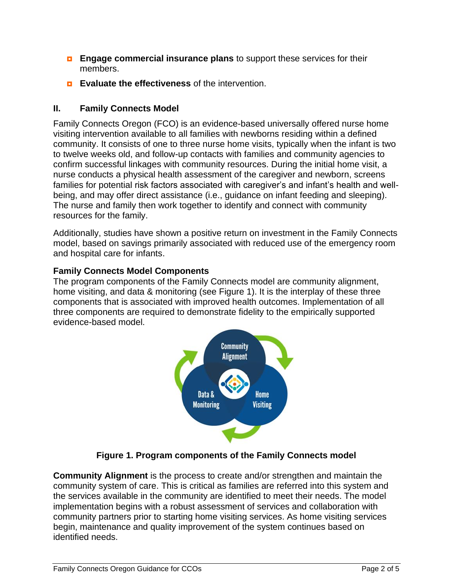- **Engage commercial insurance plans** to support these services for their members.
- **Evaluate the effectiveness** of the intervention.

# **II. Family Connects Model**

Family Connects Oregon (FCO) is an evidence-based universally offered nurse home visiting intervention available to all families with newborns residing within a defined community. It consists of one to three nurse home visits, typically when the infant is two to twelve weeks old, and follow-up contacts with families and community agencies to confirm successful linkages with community resources. During the initial home visit, a nurse conducts a physical health assessment of the caregiver and newborn, screens families for potential risk factors associated with caregiver's and infant's health and wellbeing, and may offer direct assistance (i.e., guidance on infant feeding and sleeping). The nurse and family then work together to identify and connect with community resources for the family.

Additionally, studies have shown a positive return on investment in the Family Connects model, based on savings primarily associated with reduced use of the emergency room and hospital care for infants.

## **Family Connects Model Components**

The program components of the Family Connects model are community alignment, home visiting, and data & monitoring (see Figure 1). It is the interplay of these three components that is associated with improved health outcomes. Implementation of all three components are required to demonstrate fidelity to the empirically supported evidence-based model.



**Figure 1. Program components of the Family Connects model**

**Community Alignment** is the process to create and/or strengthen and maintain the community system of care. This is critical as families are referred into this system and the services available in the community are identified to meet their needs. The model implementation begins with a robust assessment of services and collaboration with community partners prior to starting home visiting services. As home visiting services begin, maintenance and quality improvement of the system continues based on identified needs.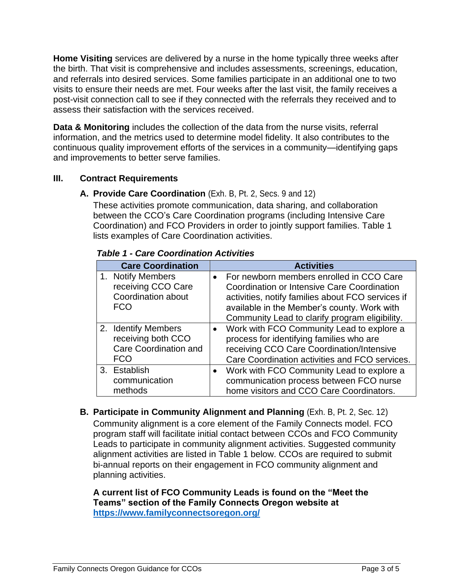**Home Visiting** services are delivered by a nurse in the home typically three weeks after the birth. That visit is comprehensive and includes assessments, screenings, education, and referrals into desired services. Some families participate in an additional one to two visits to ensure their needs are met. Four weeks after the last visit, the family receives a post-visit connection call to see if they connected with the referrals they received and to assess their satisfaction with the services received.

**Data & Monitoring** includes the collection of the data from the nurse visits, referral information, and the metrics used to determine model fidelity. It also contributes to the continuous quality improvement efforts of the services in a community—identifying gaps and improvements to better serve families.

### **III. Contract Requirements**

### **A. Provide Care Coordination** (Exh. B, Pt. 2, Secs. 9 and 12)

These activities promote communication, data sharing, and collaboration between the CCO's Care Coordination programs (including Intensive Care Coordination) and FCO Providers in order to jointly support families. Table 1 lists examples of Care Coordination activities.

| <b>Care Coordination</b>                                                         | <b>Activities</b>                                                                                                                                                                                                                                          |  |
|----------------------------------------------------------------------------------|------------------------------------------------------------------------------------------------------------------------------------------------------------------------------------------------------------------------------------------------------------|--|
| 1. Notify Members<br>receiving CCO Care<br>Coordination about<br><b>FCO</b>      | For newborn members enrolled in CCO Care<br>$\bullet$<br>Coordination or Intensive Care Coordination<br>activities, notify families about FCO services if<br>available in the Member's county. Work with<br>Community Lead to clarify program eligibility. |  |
| 2. Identify Members<br>receiving both CCO<br>Care Coordination and<br><b>FCO</b> | Work with FCO Community Lead to explore a<br>$\bullet$<br>process for identifying families who are<br>receiving CCO Care Coordination/Intensive<br>Care Coordination activities and FCO services.                                                          |  |
| 3. Establish<br>communication<br>methods                                         | Work with FCO Community Lead to explore a<br>$\bullet$<br>communication process between FCO nurse<br>home visitors and CCO Care Coordinators.                                                                                                              |  |

*Table 1 - Care Coordination Activities* 

**B. Participate in Community Alignment and Planning** (Exh. B, Pt. 2, Sec. 12) Community alignment is a core element of the Family Connects model. FCO program staff will facilitate initial contact between CCOs and FCO Community Leads to participate in community alignment activities. Suggested community alignment activities are listed in Table 1 below. CCOs are required to submit bi-annual reports on their engagement in FCO community alignment and planning activities.

#### **A current list of FCO Community Leads is found on the "Meet the Teams" section of the Family Connects Oregon website at <https://www.familyconnectsoregon.org/>**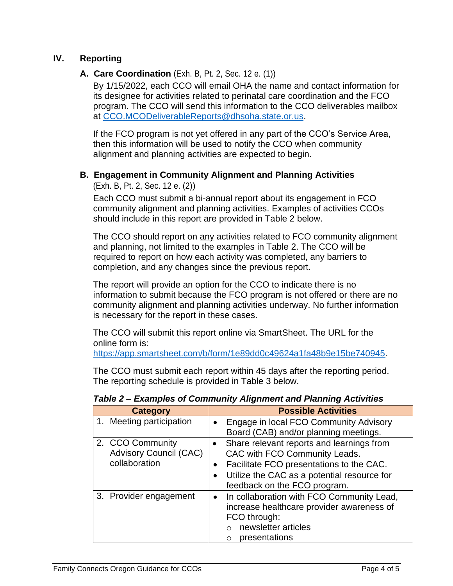### **IV. Reporting**

#### **A. Care Coordination** (Exh. B, Pt. 2, Sec. 12 e. (1))

By 1/15/2022, each CCO will email OHA the name and contact information for its designee for activities related to perinatal care coordination and the FCO program. The CCO will send this information to the CCO deliverables mailbox at [CCO.MCODeliverableReports@dhsoha.state.or.us.](mailto:CCO.MCODeliverableReports@dhsoha.state.or.us)

If the FCO program is not yet offered in any part of the CCO's Service Area, then this information will be used to notify the CCO when community alignment and planning activities are expected to begin.

### **B. Engagement in Community Alignment and Planning Activities**

(Exh. B, Pt. 2, Sec. 12 e. (2))

Each CCO must submit a bi-annual report about its engagement in FCO community alignment and planning activities. Examples of activities CCOs should include in this report are provided in Table 2 below.

The CCO should report on any activities related to FCO community alignment and planning, not limited to the examples in Table 2. The CCO will be required to report on how each activity was completed, any barriers to completion, and any changes since the previous report.

The report will provide an option for the CCO to indicate there is no information to submit because the FCO program is not offered or there are no community alignment and planning activities underway. No further information is necessary for the report in these cases.

The CCO will submit this report online via SmartSheet. The URL for the online form is:

[https://app.smartsheet.com/b/form/1e89dd0c49624a1fa48b9e15be740945.](https://app.smartsheet.com/b/form/1e89dd0c49624a1fa48b9e15be740945)

The CCO must submit each report within 45 days after the reporting period. The reporting schedule is provided in Table 3 below.

| <b>Category</b>                                                    | <b>Possible Activities</b>                                                                                                                                                                                                        |  |
|--------------------------------------------------------------------|-----------------------------------------------------------------------------------------------------------------------------------------------------------------------------------------------------------------------------------|--|
| 1. Meeting participation                                           | Engage in local FCO Community Advisory<br>$\bullet$<br>Board (CAB) and/or planning meetings.                                                                                                                                      |  |
| 2. CCO Community<br><b>Advisory Council (CAC)</b><br>collaboration | • Share relevant reports and learnings from<br>CAC with FCO Community Leads.<br>Facilitate FCO presentations to the CAC.<br>$\bullet$<br>Utilize the CAC as a potential resource for<br>$\bullet$<br>feedback on the FCO program. |  |
| 3. Provider engagement                                             | In collaboration with FCO Community Lead,<br>$\bullet$<br>increase healthcare provider awareness of<br>FCO through:<br>newsletter articles<br>$\circ$<br>presentations<br>$\circ$                                                 |  |

*Table 2 – Examples of Community Alignment and Planning Activities*